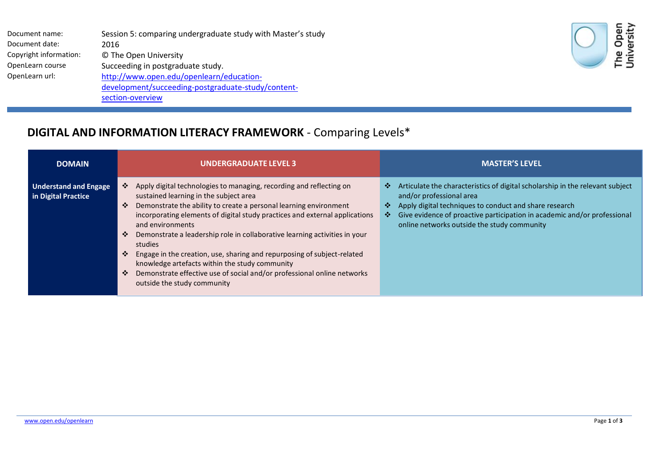| Session 5: comparing undergraduate study with Master's study |
|--------------------------------------------------------------|
| 2016                                                         |
| © The Open University                                        |
| Succeeding in postgraduate study.                            |
| http://www.open.edu/openlearn/education-                     |
| development/succeeding-postgraduate-study/content-           |
| section-overview                                             |
|                                                              |



## **DIGITAL AND INFORMATION LITERACY FRAMEWORK** - Comparing Levels\*

| <b>DOMAIN</b>                                       | <b>UNDERGRADUATE LEVEL 3</b>                                                                                                                                                                                                                                                                                                                                                                                                                                                                                                                                                                                                                   | <b>MASTER'S LEVEL</b>                                                                                                                                                                                                                                                                                         |
|-----------------------------------------------------|------------------------------------------------------------------------------------------------------------------------------------------------------------------------------------------------------------------------------------------------------------------------------------------------------------------------------------------------------------------------------------------------------------------------------------------------------------------------------------------------------------------------------------------------------------------------------------------------------------------------------------------------|---------------------------------------------------------------------------------------------------------------------------------------------------------------------------------------------------------------------------------------------------------------------------------------------------------------|
| <b>Understand and Engage</b><br>in Digital Practice | Apply digital technologies to managing, recording and reflecting on<br>❖<br>sustained learning in the subject area<br>Demonstrate the ability to create a personal learning environment<br>❖<br>incorporating elements of digital study practices and external applications<br>and environments<br>Demonstrate a leadership role in collaborative learning activities in your<br>❖<br>studies<br>Engage in the creation, use, sharing and repurposing of subject-related<br>❖<br>knowledge artefacts within the study community<br>Demonstrate effective use of social and/or professional online networks<br>❖<br>outside the study community | Articulate the characteristics of digital scholarship in the relevant subject<br>❖<br>and/or professional area<br>Apply digital techniques to conduct and share research<br>❖<br>Give evidence of proactive participation in academic and/or professional<br>❖<br>online networks outside the study community |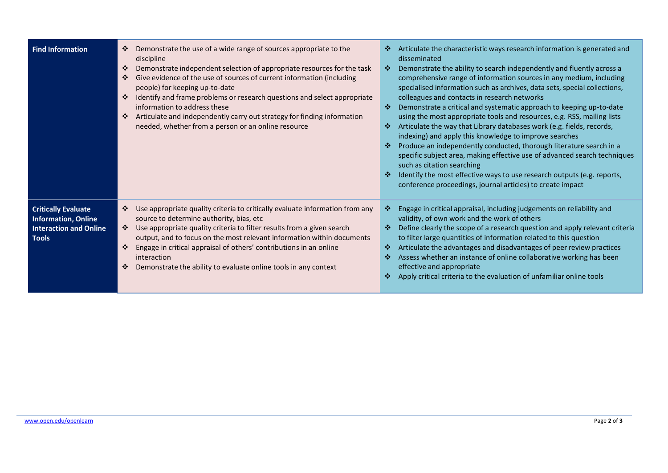| <b>Find Information</b>                                                                                   | Demonstrate the use of a wide range of sources appropriate to the<br>❖<br>discipline<br>Demonstrate independent selection of appropriate resources for the task<br>❖<br>Give evidence of the use of sources of current information (including<br>❖<br>people) for keeping up-to-date<br>Identify and frame problems or research questions and select appropriate<br>information to address these<br>Articulate and independently carry out strategy for finding information<br>needed, whether from a person or an online resource | Articulate the characteristic ways research information is generated and<br>❖<br>disseminated<br>Demonstrate the ability to search independently and fluently across a<br>壘<br>comprehensive range of information sources in any medium, including<br>specialised information such as archives, data sets, special collections,<br>colleagues and contacts in research networks<br>❖<br>Demonstrate a critical and systematic approach to keeping up-to-date<br>using the most appropriate tools and resources, e.g. RSS, mailing lists<br>Articulate the way that Library databases work (e.g. fields, records,<br>壘<br>indexing) and apply this knowledge to improve searches<br>Produce an independently conducted, thorough literature search in a<br>壘<br>specific subject area, making effective use of advanced search techniques<br>such as citation searching<br>Identify the most effective ways to use research outputs (e.g. reports,<br>conference proceedings, journal articles) to create impact |
|-----------------------------------------------------------------------------------------------------------|------------------------------------------------------------------------------------------------------------------------------------------------------------------------------------------------------------------------------------------------------------------------------------------------------------------------------------------------------------------------------------------------------------------------------------------------------------------------------------------------------------------------------------|-----------------------------------------------------------------------------------------------------------------------------------------------------------------------------------------------------------------------------------------------------------------------------------------------------------------------------------------------------------------------------------------------------------------------------------------------------------------------------------------------------------------------------------------------------------------------------------------------------------------------------------------------------------------------------------------------------------------------------------------------------------------------------------------------------------------------------------------------------------------------------------------------------------------------------------------------------------------------------------------------------------------|
| <b>Critically Evaluate</b><br><b>Information, Online</b><br><b>Interaction and Online</b><br><b>Tools</b> | Use appropriate quality criteria to critically evaluate information from any<br>❖<br>source to determine authority, bias, etc<br>Use appropriate quality criteria to filter results from a given search<br>❖<br>output, and to focus on the most relevant information within documents<br>❖<br>Engage in critical appraisal of others' contributions in an online<br>interaction<br>Demonstrate the ability to evaluate online tools in any context<br>❖                                                                           | Engage in critical appraisal, including judgements on reliability and<br>❖<br>validity, of own work and the work of others<br>Define clearly the scope of a research question and apply relevant criteria<br>❖<br>to filter large quantities of information related to this question<br>Articulate the advantages and disadvantages of peer review practices<br>❖<br>Assess whether an instance of online collaborative working has been<br>❖<br>effective and appropriate<br>Apply critical criteria to the evaluation of unfamiliar online tools<br>❖                                                                                                                                                                                                                                                                                                                                                                                                                                                         |